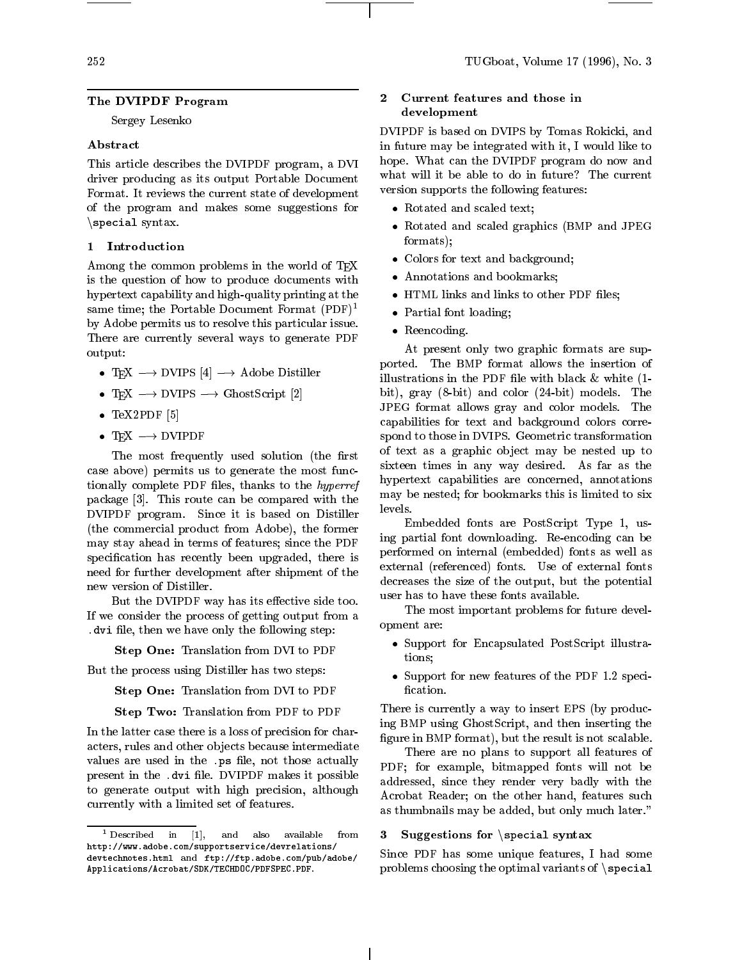# The DVIPDF Program

Sergey Lesenko

## Abstract

This article describes the DVIPDF program, a DVI driver producing as its output Portable Document Format. It reviews the current state of development of the program andmakes some suggestions for  $\setminus$ special syntax.

#### 1 Introduction

Among the common problems in the world of TEX is the question of how to produce documents with hypertext capability and high-quality printing at the same time; the Portable Document Format  $(PDF)^1$ by Adobe permits us to resolve this particular issue. There are currently several ways to generate PDF output:

- TEX  $\longrightarrow$  DVIPS [4]  $\longrightarrow$  Adobe Distiller
- TEX  $\longrightarrow$  DVIPS  $\longrightarrow$  GhostScript [2]
- TeX2PDF [5]
- $\bullet$  T<sub>E</sub>X  $\longrightarrow$  DVIPDF

The most frequently used solution (the first case above) permits us to generate the most functionally complete PDF files, thanks to the *hyperref* package [3]. This route can be compared with the  $\frac{may}{dx}$  parameters. DVIPDF program. Since it is based on Distiller (the commercial product from Adobe), the former may stay ahead in terms of features; since the PDF specification has recently been upgraded, there is need for further development after shipment of the new version of Distiller.

But the DVIPDF way has its effective side too. If we consider the process of getting output from a dvi file, then we have only the following step:

Step One: Translation from DVI to PDF

But the process using Distiller has two steps:

Step One: Translation from DVI to PDF

Step Two: Translation from PDF to PDF

In the latter case there is a loss of precision for characters, rules and other objects because intermediate values are used in the .ps file, not those actually present in the .dvi file. DVIPDF makes it possible to generate output with high precision, although currently with a limited set of features.

#### $\overline{2}$ Current features and those in development

DVIPDF is based on DVIPS by Tomas Rokicki, and in future may be integrated with it, I would like to hope. What can the DVIPDF program do now and what will it be able to do in future? The current version supports the following features:

- Rotated and scaled text;
- Rotated and scaled graphics (BMP and JPEG formats);
- Colors for text and background;
- Annotations and bookmarks;
- HTML links and links to other PDF files;
- Partial font loading;
- Reencoding.

At present only two graphic formats are supported. The BMP format allows the insertion of illustrations in the PDF file with black  $&$  white (1bit), gray (8-bit) and color (24-bit) models. The JPEG format allows gray and color models. The capabilities for text and background colors correspond to those in DVIPS. Geometric transformation of text as a graphic object may be nested up to sixteen times in any way desired. As far as the hypertext capabilities are concerned, annotations may be nested; for bookmarks this is limited to six

Embedded fonts are PostScript Type 1, using partial font downloading. Re-encoding can be performed on internal (embedded) fonts as well as external (referenced) fonts. Use of external fonts decreases the size of the output, but the potential user has to have these fonts available.

The most important problems for future development are:

- Support for Encapsulated PostScript illustrations;
- Support for new features of the PDF 1.2 speci fication.

There is currently a way to insert EPS (by producing BMP using GhostScript, and then inserting the figure in BMP format), but the result is not scalable.

There are no plans to support all features of PDF; for example, bitmapped fonts will not be addressed, since they render very badly with the Acrobat Reader; on the other hand, features such as thumbnails may be added, but only much later."

#### Suggestions for  $\simeq$  special syntax

Since PDF has some unique features, I had some problems choosing the optimal variants of  $\simeq$ 

<sup>&</sup>lt;sup>1</sup> Described in  $[1]$ , and also available from  $3$ http://www.adobe.com/supportservice/devrelations/ devtechnotes.html and ftp://ftp.adobe.com/pub/adobe/ Applications/Acrobat/SDK/TECHDOC/PDFSPEC.PDF.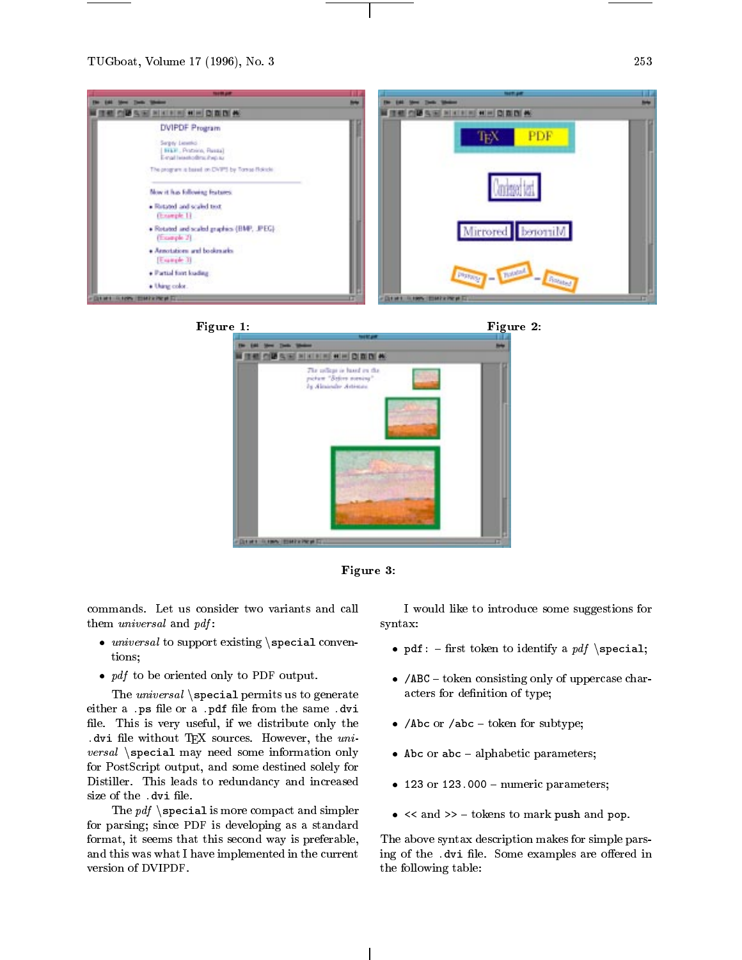





commands. Let us consider two variants and call them universal and pdf :

- $\bullet$  universal to support existing \special conventions;
- *pdf* to be oriented only to PDF output.

The universal  $\simeq$  special permits us to generate either a .ps file or a .pdf file from the same .dvi file. This is very useful, if we distribute only the . dvi file without TEX sources. However, the  $uni$  $versal$  \special may need some information only for PostScript output, and some destined solely for Distiller. This leads to redundancy and increased size of the .dvi file.

The  $pdf \simeq$  special is more compact and simpler for parsing; since PDF is developing as a standard format, it seems that this second way is preferable, and this was what I have implemented in the current version of DVIPDF.

I would like to introduce some suggestions for syntax:

- pdf: first token to identify a pdf \special;
- /ABC  $-$  token consisting only of uppercase characters for definition of type;
- /Abc or /abc  $-$  token for subtype;
- Abc or abc  $-$  alphabetic parameters;
- $\bullet$  123 or 123.000 numeric parameters;
- $\bullet$  << and >>  $\circ$  tokens to mark push and pop.

The above syntax description makes for simple parsing of the .dvi file. Some examples are offered in the following table: